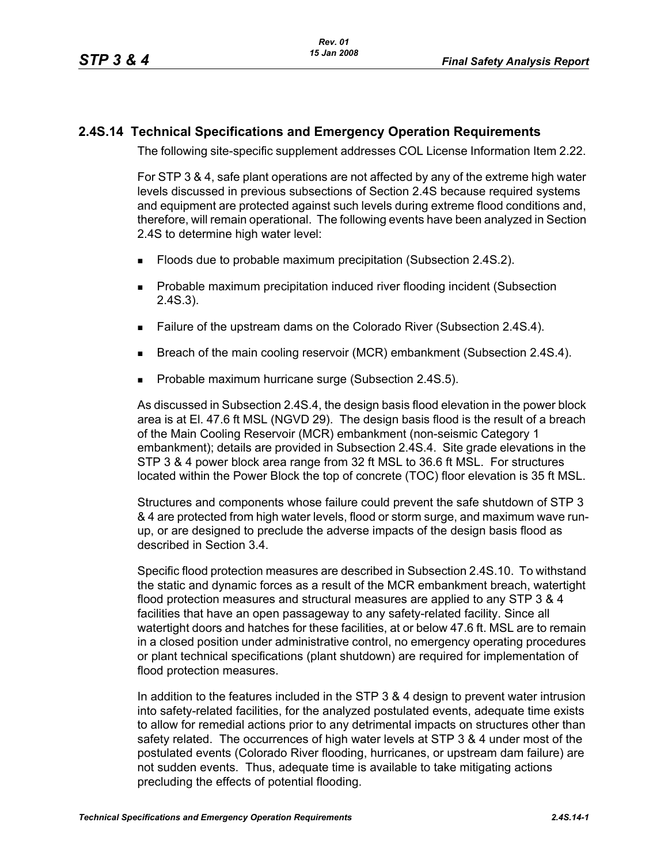## **2.4S.14 Technical Specifications and Emergency Operation Requirements**

The following site-specific supplement addresses COL License Information Item 2.22.

For STP 3 & 4, safe plant operations are not affected by any of the extreme high water levels discussed in previous subsections of Section 2.4S because required systems and equipment are protected against such levels during extreme flood conditions and, therefore, will remain operational. The following events have been analyzed in Section 2.4S to determine high water level:

- **Floods due to probable maximum precipitation (Subsection 2.4S.2).**
- **Probable maximum precipitation induced river flooding incident (Subsection** 2.4S.3).
- **Failure of the upstream dams on the Colorado River (Subsection 2.4S.4).**
- **Breach of the main cooling reservoir (MCR) embankment (Subsection 2.4S.4).**
- Probable maximum hurricane surge (Subsection 2.4S.5).

As discussed in Subsection 2.4S.4, the design basis flood elevation in the power block area is at El. 47.6 ft MSL (NGVD 29). The design basis flood is the result of a breach of the Main Cooling Reservoir (MCR) embankment (non-seismic Category 1 embankment); details are provided in Subsection 2.4S.4. Site grade elevations in the STP 3 & 4 power block area range from 32 ft MSL to 36.6 ft MSL. For structures located within the Power Block the top of concrete (TOC) floor elevation is 35 ft MSL.

Structures and components whose failure could prevent the safe shutdown of STP 3 & 4 are protected from high water levels, flood or storm surge, and maximum wave runup, or are designed to preclude the adverse impacts of the design basis flood as described in Section 3.4.

Specific flood protection measures are described in Subsection 2.4S.10. To withstand the static and dynamic forces as a result of the MCR embankment breach, watertight flood protection measures and structural measures are applied to any STP 3 & 4 facilities that have an open passageway to any safety-related facility. Since all watertight doors and hatches for these facilities, at or below 47.6 ft. MSL are to remain in a closed position under administrative control, no emergency operating procedures or plant technical specifications (plant shutdown) are required for implementation of flood protection measures.

In addition to the features included in the STP 3 & 4 design to prevent water intrusion into safety-related facilities, for the analyzed postulated events, adequate time exists to allow for remedial actions prior to any detrimental impacts on structures other than safety related. The occurrences of high water levels at STP 3 & 4 under most of the postulated events (Colorado River flooding, hurricanes, or upstream dam failure) are not sudden events. Thus, adequate time is available to take mitigating actions precluding the effects of potential flooding.